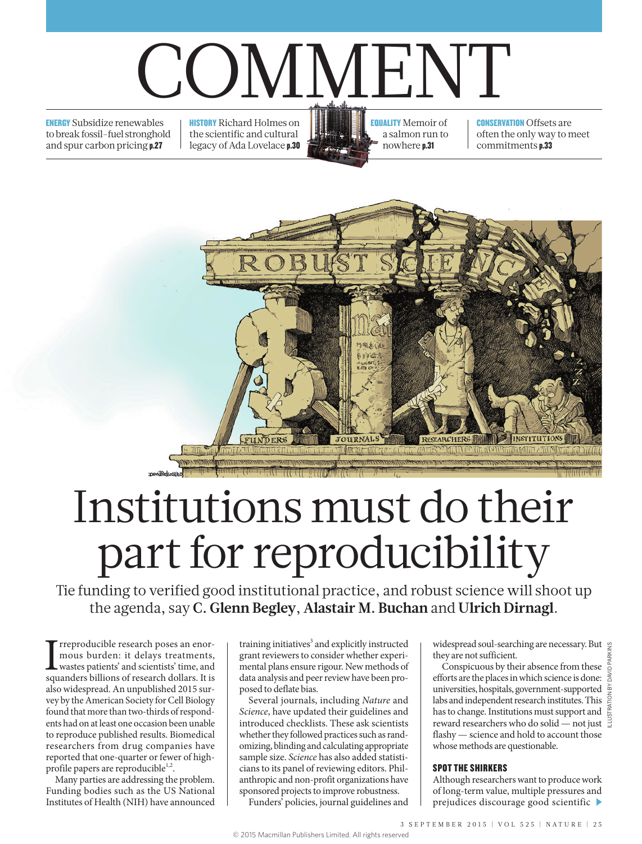# COMMENT

ENERGY Subsidize renewables to break fossil-fuel stronghold and spur carbon pricing p.27

**HISTORY** Richard Holmes on the scientific and cultural legacy of Ada Lovelace p.30 EQUALITY Memoir of a salmon run to nowhere p.31

**CONSERVATION Offsets are** often the only way to meet commitments p.33



## Institutions must do their part for reproducibility

Tie funding to verified good institutional practice, and robust science will shoot up the agenda, say **C. Glenn Begley**, **Alastair M. Buchan** and **Ulrich Dirnagl**.

I reproducible research poses an enormous burden: it delays treatments, wastes patients' and scientists' time, and squanders billions of research dollars. It is rreproducible research poses an enormous burden: it delays treatments, wastes patients' and scientists' time, and also widespread. An unpublished 2015 survey by the American Society for Cell Biology found that more than two-thirds of respondents had on at least one occasion been unable to reproduce published results. Biomedical researchers from drug companies have reported that one-quarter or fewer of highprofile papers are reproducible<sup>1,2</sup>.

Many parties are addressing the problem. Funding bodies such as the US National Institutes of Health (NIH) have announced

training initiatives<sup>3</sup> and explicitly instructed grant reviewers to consider whether experimental plans ensure rigour. New methods of data analysis and peer review have been proposed to deflate bias.

Several journals, including *Nature* and *Science*, have updated their guidelines and introduced checklists. These ask scientists whether they followed practices such as randomizing, blinding and calculating appropriate sample size. *Science* has also added statisticians to its panel of reviewing editors. Philanthropic and non-profit organizations have sponsored projects to improve robustness.

Funders' policies, journal guidelines and

widespread soul-searching are necessary. But g they are not sufficient.

Conspicuous by their absence from these efforts are the places in which science is done: universities, hospitals, government-supported labs and independent research institutes. This has to change. Institutions must support and  $\frac{g}{g}$ reward researchers who do solid — not just  $\exists$ flashy — science and hold to account those whose methods are questionable.

#### SPOT THE SHIRKERS

Although researchers want to produce work of long-term value, multiple pressures and prejudices discourage good scientific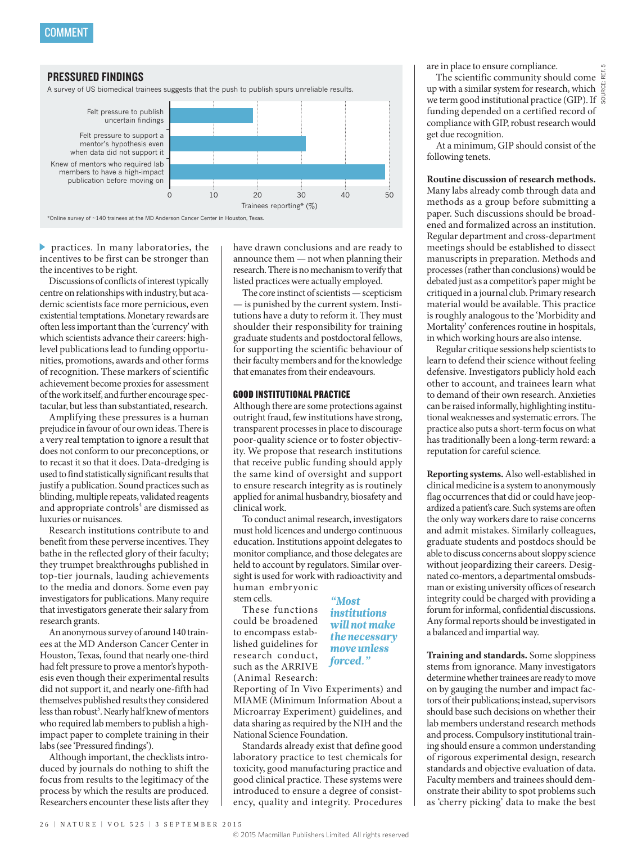

practices. In many laboratories, the incentives to be first can be stronger than the incentives to be right.

Discussions of conflicts of interest typically centre on relationships with industry, but academic scientists face more pernicious, even existential temptations. Monetary rewards are often less important than the 'currency' with which scientists advance their careers: highlevel publications lead to funding opportunities, promotions, awards and other forms of recognition. These markers of scientific achievement become proxies for assessment of the work itself, and further encourage spectacular, but less than substantiated, research.

Amplifying these pressures is a human prejudice in favour of our own ideas. There is a very real temptation to ignore a result that does not conform to our preconceptions, or to recast it so that it does. Data-dredging is used to find statistically significant results that justify a publication. Sound practices such as blinding, multiple repeats, validated reagents and appropriate controls<sup>4</sup> are dismissed as luxuries or nuisances.

Research institutions contribute to and benefit from these perverse incentives. They bathe in the reflected glory of their faculty; they trumpet breakthroughs published in top-tier journals, lauding achievements to the media and donors. Some even pay investigators for publications. Many require that investigators generate their salary from research grants.

An anonymous survey of around 140 trainees at the MD Anderson Cancer Center in Houston, Texas, found that nearly one-third had felt pressure to prove a mentor's hypothesis even though their experimental results did not support it, and nearly one-fifth had themselves published results they considered less than robust<sup>5</sup>. Nearly half knew of mentors who required lab members to publish a highimpact paper to complete training in their labs (see 'Pressured findings').

Although important, the checklists introduced by journals do nothing to shift the focus from results to the legitimacy of the process by which the results are produced. Researchers encounter these lists after they have drawn conclusions and are ready to announce them — not when planning their research. There is no mechanism to verify that listed practices were actually employed.

The core instinct of scientists — scepticism — is punished by the current system. Institutions have a duty to reform it. They must shoulder their responsibility for training graduate students and postdoctoral fellows, for supporting the scientific behaviour of their faculty members and for the knowledge that emanates from their endeavours.

#### GOOD INSTITUTIONAL PRACTICE

Although there are some protections against outright fraud, few institutions have strong, transparent processes in place to discourage poor-quality science or to foster objectivity. We propose that research institutions that receive public funding should apply the same kind of oversight and support to ensure research integrity as is routinely applied for animal husbandry, biosafety and clinical work.

To conduct animal research, investigators must hold licences and undergo continuous education. Institutions appoint delegates to monitor compliance, and those delegates are held to account by regulators. Similar oversight is used for work with radioactivity and human embryonic

stem cells.

These functions could be broadened to encompass established guidelines for research conduct, such as the ARRIVE (Animal Research:

*"Most institutions will not make the necessary move unless forced."*

Reporting of In Vivo Experiments) and MIAME (Minimum Information About a Microarray Experiment) guidelines, and data sharing as required by the NIH and the National Science Foundation.

Standards already exist that define good laboratory practice to test chemicals for toxicity, good manufacturing practice and good clinical practice. These systems were introduced to ensure a degree of consistency, quality and integrity. Procedures

are in place to ensure compliance.

The scientific community should come up with a similar system for research, which we term good institutional practice (GIP). If  $\frac{5}{9}$ funding depended on a certified record of compliance with GIP, robust research would get due recognition.

At a minimum, GIP should consist of the following tenets.

### **Routine discussion of research methods.**

Many labs already comb through data and methods as a group before submitting a paper. Such discussions should be broadened and formalized across an institution. Regular department and cross-department meetings should be established to dissect manuscripts in preparation. Methods and processes (rather than conclusions) would be debated just as a competitor's paper might be critiqued in a journal club. Primary research material would be available. This practice is roughly analogous to the 'Morbidity and Mortality' conferences routine in hospitals, in which working hours are also intense.

Regular critique sessions help scientists to learn to defend their science without feeling defensive. Investigators publicly hold each other to account, and trainees learn what to demand of their own research. Anxieties can be raised informally, highlighting institutional weaknesses and systematic errors. The practice also puts a short-term focus on what has traditionally been a long-term reward: a reputation for careful science.

**Reporting systems.** Also well-established in clinical medicine is a system to anonymously flag occurrences that did or could have jeopardized a patient's care. Such systems are often the only way workers dare to raise concerns and admit mistakes. Similarly colleagues, graduate students and postdocs should be able to discuss concerns about sloppy science without jeopardizing their careers. Designated co-mentors, a departmental omsbudsman or existing university offices of research integrity could be charged with providing a forum for informal, confidential discussions. Any formal reports should be investigated in a balanced and impartial way.

**Training and standards.** Some sloppiness stems from ignorance. Many investigators determine whether trainees are ready to move on by gauging the number and impact factors of their publications; instead, supervisors should base such decisions on whether their lab members understand research methods and process. Compulsory institutional training should ensure a common understanding of rigorous experimental design, research standards and objective evaluation of data. Faculty members and trainees should demonstrate their ability to spot problems such as 'cherry picking' data to make the best